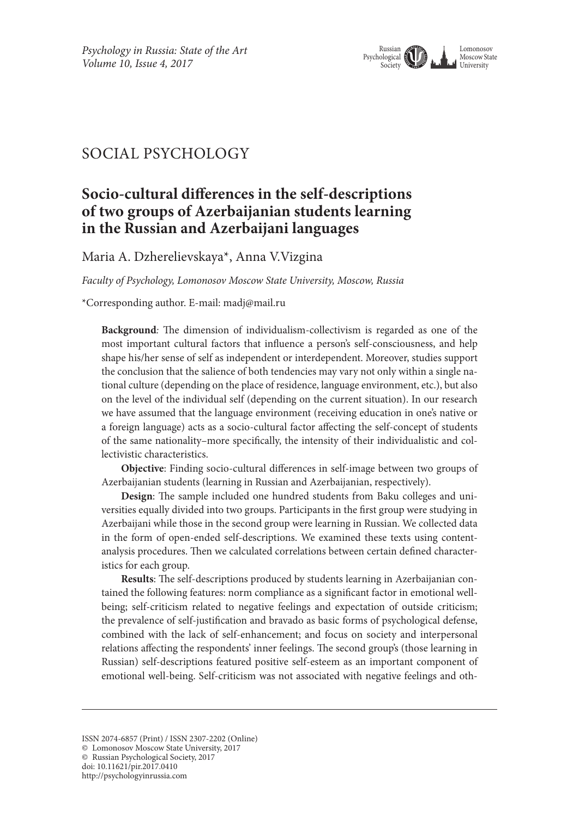

# SOCIAL PSYCHOLOGY

# **Socio-cultural differences in the self-descriptions of two groups of Azerbaijanian students learning in the Russian and Azerbaijani languages**

Maria A. Dzherelievskaya\*, Anna V.Vizgina

*Faculty of Psychology, Lomonosov Moscow State University, Moscow, Russia*

\*Corresponding author. E-mail: madj@mail.ru

**Background***:* The dimension of individualism-collectivism is regarded as one of the most important cultural factors that influence a person's self-consciousness, and help shape his/her sense of self as independent or interdependent. Moreover, studies support the conclusion that the salience of both tendencies may vary not only within a single national culture (depending on the place of residence, language environment, etc.), but also on the level of the individual self (depending on the current situation). In our research we have assumed that the language environment (receiving education in one's native or a foreign language) acts as a socio-cultural factor affecting the self-concept of students of the same nationality–more specifically, the intensity of their individualistic and collectivistic characteristics.

**Objective**: Finding socio-cultural differences in self-image between two groups of Azerbaijanian students (learning in Russian and Azerbaijanian, respectively).

**Design**: The sample included one hundred students from Baku colleges and universities equally divided into two groups. Participants in the first group were studying in Azerbaijani while those in the second group were learning in Russian. We collected data in the form of open-ended self-descriptions. We examined these texts using contentanalysis procedures. Then we calculated correlations between certain defined characteristics for each group.

**Results**: The self-descriptions produced by students learning in Azerbaijanian contained the following features: norm compliance as a significant factor in emotional wellbeing; self-criticism related to negative feelings and expectation of outside criticism; the prevalence of self-justification and bravado as basic forms of psychological defense, combined with the lack of self-enhancement; and focus on society and interpersonal relations affecting the respondents' inner feelings. The second group's (those learning in Russian) self-descriptions featured positive self-esteem as an important component of emotional well-being. Self-criticism was not associated with negative feelings and oth-

© Russian Psychological Society, 2017 doi: 10.11621/pir.2017.0410

http://psychologyinrussia.com

ISSN 2074-6857 (Print) / ISSN 2307-2202 (Online)

<sup>©</sup> Lomonosov Moscow State University, 2017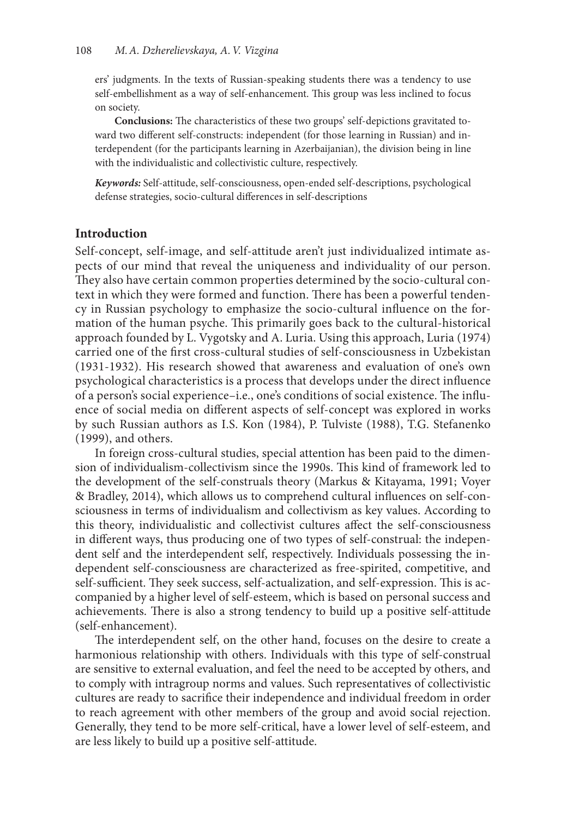ers' judgments. In the texts of Russian-speaking students there was a tendency to use self-embellishment as a way of self-enhancement. This group was less inclined to focus on society.

**Conclusions:** The characteristics of these two groups' self-depictions gravitated toward two different self-constructs: independent (for those learning in Russian) and interdependent (for the participants learning in Azerbaijanian), the division being in line with the individualistic and collectivistic culture, respectively.

*Keywords:* Self-attitude, self-consciousness, open-ended self-descriptions, psychological defense strategies, socio-cultural differences in self-descriptions

#### **Introduction**

Self-concept, self-image, and self-attitude aren't just individualized intimate aspects of our mind that reveal the uniqueness and individuality of our person. They also have certain common properties determined by the socio-cultural context in which they were formed and function. There has been a powerful tendency in Russian psychology to emphasize the socio-cultural influence on the formation of the human psyche. This primarily goes back to the cultural-historical approach founded by L. Vygotsky and A. Luria. Using this approach, Luria (1974) carried one of the first cross-cultural studies of self-consciousness in Uzbekistan (1931-1932). His research showed that awareness and evaluation of one's own psychological characteristics is a process that develops under the direct influence of a person's social experience–i.e., one's conditions of social existence. The influence of social media on different aspects of self-concept was explored in works by such Russian authors as I.S. Kon (1984), P. Tulviste (1988), T.G. Stefanenko (1999), and others.

In foreign cross-cultural studies, special attention has been paid to the dimension of individualism-collectivism since the 1990s. This kind of framework led to the development of the self-construals theory (Markus & Kitayama, 1991; Voyer & Bradley, 2014), which allows us to comprehend cultural influences on self-consciousness in terms of individualism and collectivism as key values. According to this theory, individualistic and collectivist cultures affect the self-consciousness in different ways, thus producing one of two types of self-construal: the independent self and the interdependent self, respectively. Individuals possessing the independent self-consciousness are characterized as free-spirited, competitive, and self-sufficient. They seek success, self-actualization, and self-expression. This is accompanied by a higher level of self-esteem, which is based on personal success and achievements. There is also a strong tendency to build up a positive self-attitude (self-enhancement).

The interdependent self, on the other hand, focuses on the desire to create a harmonious relationship with others. Individuals with this type of self-construal are sensitive to external evaluation, and feel the need to be accepted by others, and to comply with intragroup norms and values. Such representatives of collectivistic cultures are ready to sacrifice their independence and individual freedom in order to reach agreement with other members of the group and avoid social rejection. Generally, they tend to be more self-critical, have a lower level of self-esteem, and are less likely to build up a positive self-attitude.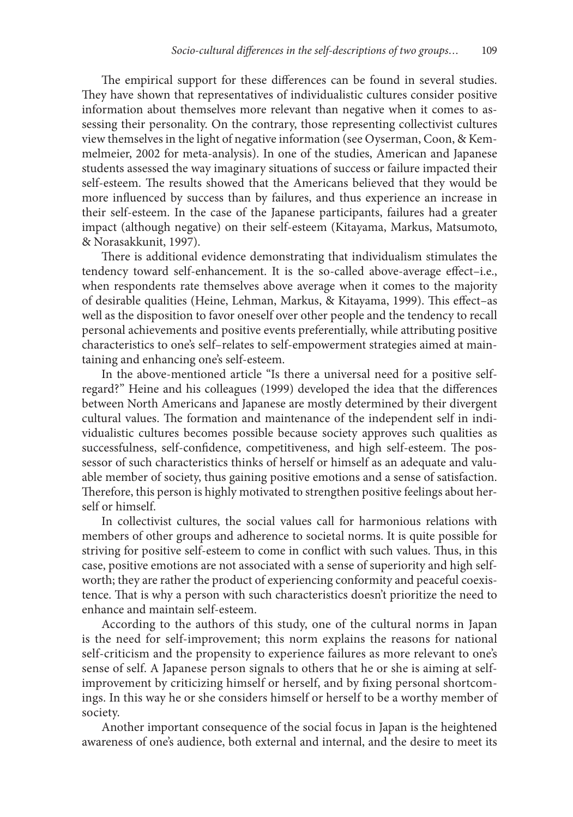The empirical support for these differences can be found in several studies. They have shown that representatives of individualistic cultures consider positive information about themselves more relevant than negative when it comes to assessing their personality. On the contrary, those representing collectivist cultures view themselves in the light of negative information (see Oyserman, Coon, & Kemmelmeier, 2002 for meta-analysis). In one of the studies, American and Japanese students assessed the way imaginary situations of success or failure impacted their self-esteem. The results showed that the Americans believed that they would be more influenced by success than by failures, and thus experience an increase in their self-esteem. In the case of the Japanese participants, failures had a greater impact (although negative) on their self-esteem (Kitayama, Markus, Matsumoto, & Norasakkunit, 1997).

There is additional evidence demonstrating that individualism stimulates the tendency toward self-enhancement. It is the so-called above-average effect–i.e., when respondents rate themselves above average when it comes to the majority of desirable qualities (Heine, Lehman, Markus, & Kitayama, 1999). This effect–as well as the disposition to favor oneself over other people and the tendency to recall personal achievements and positive events preferentially, while attributing positive characteristics to one's self–relates to self-empowerment strategies aimed at maintaining and enhancing one's self-esteem.

In the above-mentioned article "Is there a universal need for a positive selfregard?" Heine and his colleagues (1999) developed the idea that the differences between North Americans and Japanese are mostly determined by their divergent cultural values. The formation and maintenance of the independent self in individualistic cultures becomes possible because society approves such qualities as successfulness, self-confidence, competitiveness, and high self-esteem. The possessor of such characteristics thinks of herself or himself as an adequate and valuable member of society, thus gaining positive emotions and a sense of satisfaction. Therefore, this person is highly motivated to strengthen positive feelings about herself or himself.

In collectivist cultures, the social values call for harmonious relations with members of other groups and adherence to societal norms. It is quite possible for striving for positive self-esteem to come in conflict with such values. Thus, in this case, positive emotions are not associated with a sense of superiority and high selfworth; they are rather the product of experiencing conformity and peaceful coexistence. That is why a person with such characteristics doesn't prioritize the need to enhance and maintain self-esteem.

According to the authors of this study, one of the cultural norms in Japan is the need for self-improvement; this norm explains the reasons for national self-criticism and the propensity to experience failures as more relevant to one's sense of self. A Japanese person signals to others that he or she is aiming at selfimprovement by criticizing himself or herself, and by fixing personal shortcomings. In this way he or she considers himself or herself to be a worthy member of society.

Another important consequence of the social focus in Japan is the heightened awareness of one's audience, both external and internal, and the desire to meet its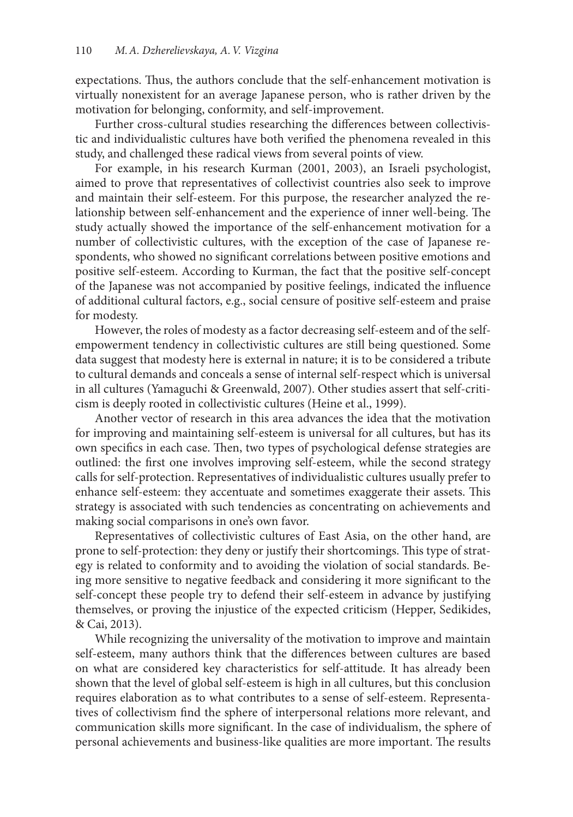expectations. Thus, the authors conclude that the self-enhancement motivation is virtually nonexistent for an average Japanese person, who is rather driven by the motivation for belonging, conformity, and self-improvement.

Further cross-cultural studies researching the differences between collectivistic and individualistic cultures have both verified the phenomena revealed in this study, and challenged these radical views from several points of view.

For example, in his research Kurman (2001, 2003), an Israeli psychologist, aimed to prove that representatives of collectivist countries also seek to improve and maintain their self-esteem. For this purpose, the researcher analyzed the relationship between self-enhancement and the experience of inner well-being. The study actually showed the importance of the self-enhancement motivation for a number of collectivistic cultures, with the exception of the case of Japanese respondents, who showed no significant correlations between positive emotions and positive self-esteem. According to Kurman, the fact that the positive self-concept of the Japanese was not accompanied by positive feelings, indicated the influence of additional cultural factors, e.g., social censure of positive self-esteem and praise for modesty.

However, the roles of modesty as a factor decreasing self-esteem and of the selfempowerment tendency in collectivistic cultures are still being questioned. Some data suggest that modesty here is external in nature; it is to be considered a tribute to cultural demands and conceals a sense of internal self-respect which is universal in all cultures (Yamaguchi & Greenwald, 2007). Other studies assert that self-criticism is deeply rooted in collectivistic cultures (Heine et al., 1999).

Another vector of research in this area advances the idea that the motivation for improving and maintaining self-esteem is universal for all cultures, but has its own specifics in each case. Then, two types of psychological defense strategies are outlined: the first one involves improving self-esteem, while the second strategy calls for self-protection. Representatives of individualistic cultures usually prefer to enhance self-esteem: they accentuate and sometimes exaggerate their assets. This strategy is associated with such tendencies as concentrating on achievements and making social comparisons in one's own favor.

Representatives of collectivistic cultures of East Asia, on the other hand, are prone to self-protection: they deny or justify their shortcomings. This type of strategy is related to conformity and to avoiding the violation of social standards. Being more sensitive to negative feedback and considering it more significant to the self-concept these people try to defend their self-esteem in advance by justifying themselves, or proving the injustice of the expected criticism (Hepper, Sedikides, & Cai, 2013).

While recognizing the universality of the motivation to improve and maintain self-esteem, many authors think that the differences between cultures are based on what are considered key characteristics for self-attitude. It has already been shown that the level of global self-esteem is high in all cultures, but this conclusion requires elaboration as to what contributes to a sense of self-esteem. Representatives of collectivism find the sphere of interpersonal relations more relevant, and communication skills more significant. In the case of individualism, the sphere of personal achievements and business-like qualities are more important. The results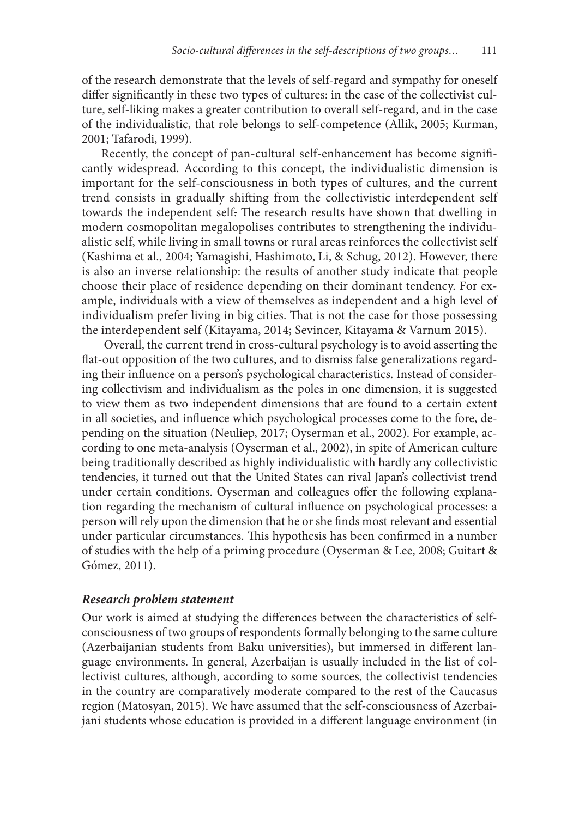of the research demonstrate that the levels of self-regard and sympathy for oneself differ significantly in these two types of cultures: in the case of the collectivist culture, self-liking makes a greater contribution to overall self-regard, and in the case of the individualistic, that role belongs to self-competence (Allik, 2005; Kurman, 2001; Tafarodi, 1999).

Recently, the concept of pan-cultural self-enhancement has become significantly widespread. According to this concept, the individualistic dimension is important for the self-consciousness in both types of cultures, and the current trend consists in gradually shifting from the collectivistic interdependent self towards the independent self. The research results have shown that dwelling in modern cosmopolitan megalopolises contributes to strengthening the individualistic self, while living in small towns or rural areas reinforces the collectivist self (Kashima et al., 2004; Yamagishi, Hashimoto, Li, & Schug, 2012). However, there is also an inverse relationship: the results of another study indicate that people choose their place of residence depending on their dominant tendency. For example, individuals with a view of themselves as independent and a high level of individualism prefer living in big cities. That is not the case for those possessing the interdependent self (Kitayama, 2014; Sevincer, Kitayama & Varnum 2015).

 Overall, the current trend in cross-cultural psychology is to avoid asserting the flat-out opposition of the two cultures, and to dismiss false generalizations regarding their influence on a person's psychological characteristics. Instead of considering collectivism and individualism as the poles in one dimension, it is suggested to view them as two independent dimensions that are found to a certain extent in all societies, and influence which psychological processes come to the fore, depending on the situation (Neuliep, 2017; Oyserman et al., 2002). For example, according to one meta-analysis (Oyserman et al., 2002), in spite of American culture being traditionally described as highly individualistic with hardly any collectivistic tendencies, it turned out that the United States can rival Japan's collectivist trend under certain conditions. Oyserman and colleagues offer the following explanation regarding the mechanism of cultural influence on psychological processes: a person will rely upon the dimension that he or she finds most relevant and essential under particular circumstances. This hypothesis has been confirmed in a number of studies with the help of a priming procedure (Oyserman & Lee, 2008; Guitart & Gómez, 2011).

#### *Research problem statement*

Our work is aimed at studying the differences between the characteristics of selfconsciousness of two groups of respondents formally belonging to the same culture (Azerbaijanian students from Baku universities), but immersed in different language environments. In general, Azerbaijan is usually included in the list of collectivist cultures, although, according to some sources, the collectivist tendencies in the country are comparatively moderate compared to the rest of the Caucasus region (Matosyan, 2015). We have assumed that the self-consciousness of Azerbaijani students whose education is provided in a different language environment (in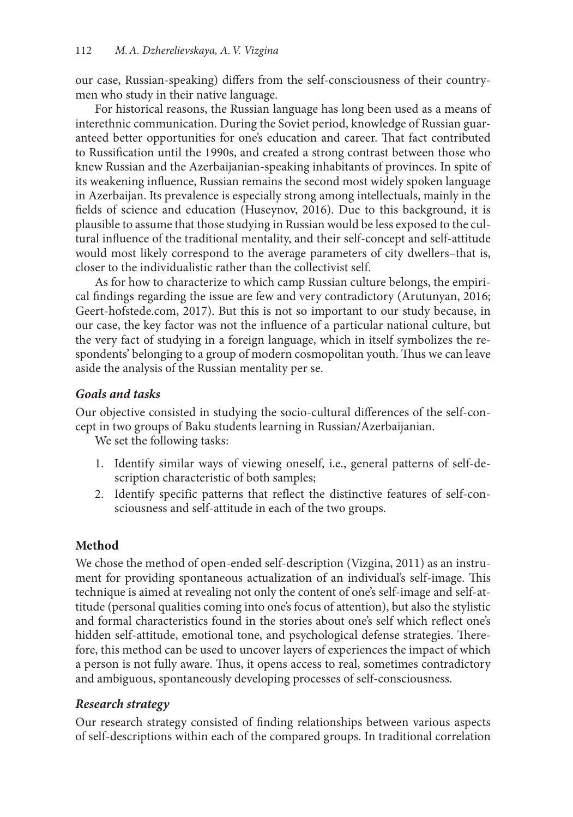our case, Russian-speaking) differs from the self-consciousness of their countrymen who study in their native language.

For historical reasons, the Russian language has long been used as a means of interethnic communication. During the Soviet period, knowledge of Russian guaranteed better opportunities for one's education and career. That fact contributed to Russification until the 1990s, and created a strong contrast between those who knew Russian and the Azerbaijanian-speaking inhabitants of provinces. In spite of its weakening influence, Russian remains the second most widely spoken language in Azerbaijan. Its prevalence is especially strong among intellectuals, mainly in the fields of science and education (Huseynov, 2016). Due to this background, it is plausible to assume that those studying in Russian would be less exposed to the cultural influence of the traditional mentality, and their self-concept and self-attitude would most likely correspond to the average parameters of city dwellers–that is, closer to the individualistic rather than the collectivist self.

As for how to characterize to which camp Russian culture belongs, the empirical findings regarding the issue are few and very contradictory (Arutunyan, 2016; Geert-hofstede.com, 2017). But this is not so important to our study because, in our case, the key factor was not the influence of a particular national culture, but the very fact of studying in a foreign language, which in itself symbolizes the respondents' belonging to a group of modern cosmopolitan youth. Thus we can leave aside the analysis of the Russian mentality per se.

# *Goals and tasks*

Our objective consisted in studying the socio-cultural differences of the self-concept in two groups of Baku students learning in Russian/Azerbaijanian.

We set the following tasks:

- 1. Identify similar ways of viewing oneself, i.e., general patterns of self-description characteristic of both samples;
- 2. Identify specific patterns that reflect the distinctive features of self-consciousness and self-attitude in each of the two groups.

# **Method**

We chose the method of open-ended self-description (Vizgina, 2011) as an instrument for providing spontaneous actualization of an individual's self-image. This technique is aimed at revealing not only the content of one's self-image and self-attitude (personal qualities coming into one's focus of attention), but also the stylistic and formal characteristics found in the stories about one's self which reflect one's hidden self-attitude, emotional tone, and psychological defense strategies. Therefore, this method can be used to uncover layers of experiences the impact of which a person is not fully aware. Thus, it opens access to real, sometimes contradictory and ambiguous, spontaneously developing processes of self-consciousness.

# *Research strategy*

Our research strategy consisted of finding relationships between various aspects of self-descriptions within each of the compared groups. In traditional correlation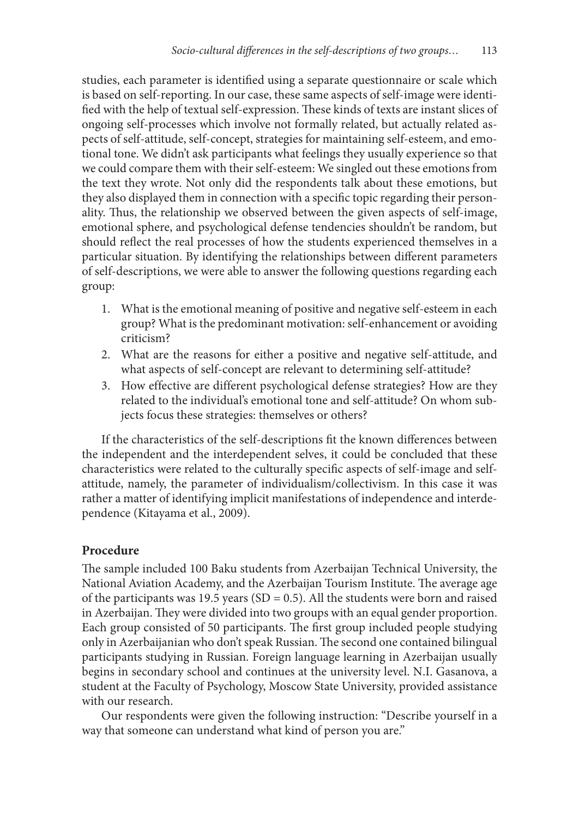studies, each parameter is identified using a separate questionnaire or scale which is based on self-reporting. In our case, these same aspects of self-image were identified with the help of textual self-expression. These kinds of texts are instant slices of ongoing self-processes which involve not formally related, but actually related aspects of self-attitude, self-concept, strategies for maintaining self-esteem, and emotional tone. We didn't ask participants what feelings they usually experience so that we could compare them with their self-esteem: We singled out these emotions from the text they wrote. Not only did the respondents talk about these emotions, but they also displayed them in connection with a specific topic regarding their personality. Thus, the relationship we observed between the given aspects of self-image, emotional sphere, and psychological defense tendencies shouldn't be random, but should reflect the real processes of how the students experienced themselves in a particular situation. By identifying the relationships between different parameters of self-descriptions, we were able to answer the following questions regarding each group:

- 1. What is the emotional meaning of positive and negative self-esteem in each group? What is the predominant motivation: self-enhancement or avoiding criticism?
- 2. What are the reasons for either a positive and negative self-attitude, and what aspects of self-concept are relevant to determining self-attitude?
- 3. How effective are different psychological defense strategies? How are they related to the individual's emotional tone and self-attitude? On whom subjects focus these strategies: themselves or others?

If the characteristics of the self-descriptions fit the known differences between the independent and the interdependent selves, it could be concluded that these characteristics were related to the culturally specific aspects of self-image and selfattitude, namely, the parameter of individualism/collectivism. In this case it was rather a matter of identifying implicit manifestations of independence and interdependence (Kitayama et al., 2009).

# **Procedure**

The sample included 100 Baku students from Azerbaijan Technical University, the National Aviation Academy, and the Azerbaijan Tourism Institute. The average age of the participants was 19.5 years (SD = 0.5). All the students were born and raised in Azerbaijan. They were divided into two groups with an equal gender proportion. Each group consisted of 50 participants. The first group included people studying only in Azerbaijanian who don't speak Russian. The second one contained bilingual participants studying in Russian. Foreign language learning in Azerbaijan usually begins in secondary school and continues at the university level. N.I. Gasanova, a student at the Faculty of Psychology, Moscow State University, provided assistance with our research.

Our respondents were given the following instruction: "Describe yourself in a way that someone can understand what kind of person you are."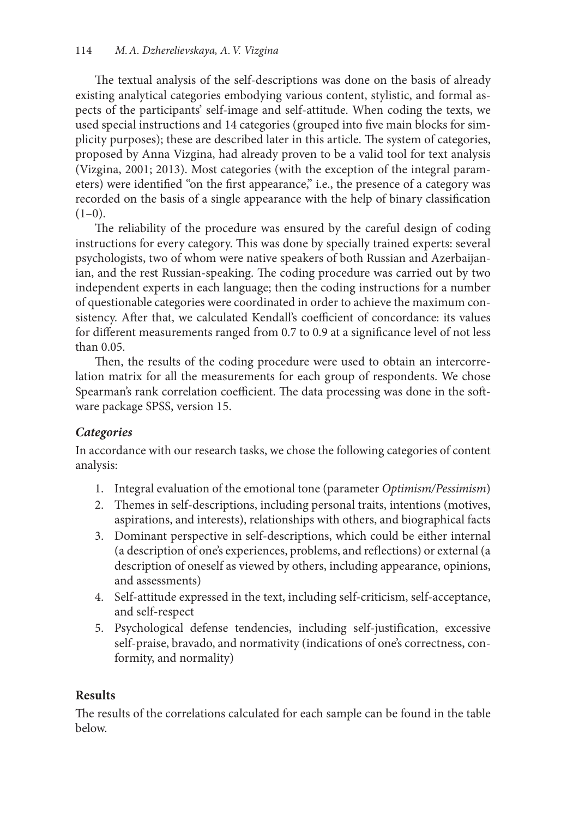The textual analysis of the self-descriptions was done on the basis of already existing analytical categories embodying various content, stylistic, and formal aspects of the participants' self-image and self-attitude. When coding the texts, we used special instructions and 14 categories (grouped into five main blocks for simplicity purposes); these are described later in this article. The system of categories, proposed by Anna Vizgina, had already proven to be a valid tool for text analysis (Vizgina, 2001; 2013). Most categories (with the exception of the integral parameters) were identified "on the first appearance," i.e., the presence of a category was recorded on the basis of a single appearance with the help of binary classification  $(1-0)$ .

The reliability of the procedure was ensured by the careful design of coding instructions for every category. This was done by specially trained experts: several psychologists, two of whom were native speakers of both Russian and Azerbaijanian, and the rest Russian-speaking. The coding procedure was carried out by two independent experts in each language; then the coding instructions for a number of questionable categories were coordinated in order to achieve the maximum consistency. After that, we calculated Kendall's coefficient of concordance: its values for different measurements ranged from 0.7 to 0.9 at a significance level of not less than 0.05.

Then, the results of the coding procedure were used to obtain an intercorrelation matrix for all the measurements for each group of respondents. We chose Spearman's rank correlation coefficient. The data processing was done in the software package SPSS, version 15.

# *Categories*

In accordance with our research tasks, we chose the following categories of content analysis:

- 1. Integral evaluation of the emotional tone (parameter *Optimism/Pessimism*)
- 2. Themes in self-descriptions, including personal traits, intentions (motives, aspirations, and interests), relationships with others, and biographical facts
- 3. Dominant perspective in self-descriptions, which could be either internal (a description of one's experiences, problems, and reflections) or external (a description of oneself as viewed by others, including appearance, opinions, and assessments)
- 4. Self-attitude expressed in the text, including self-criticism, self-acceptance, and self-respect
- 5. Psychological defense tendencies, including self-justification, excessive self-praise, bravado, and normativity (indications of one's correctness, conformity, and normality)

# **Results**

The results of the correlations calculated for each sample can be found in the table below.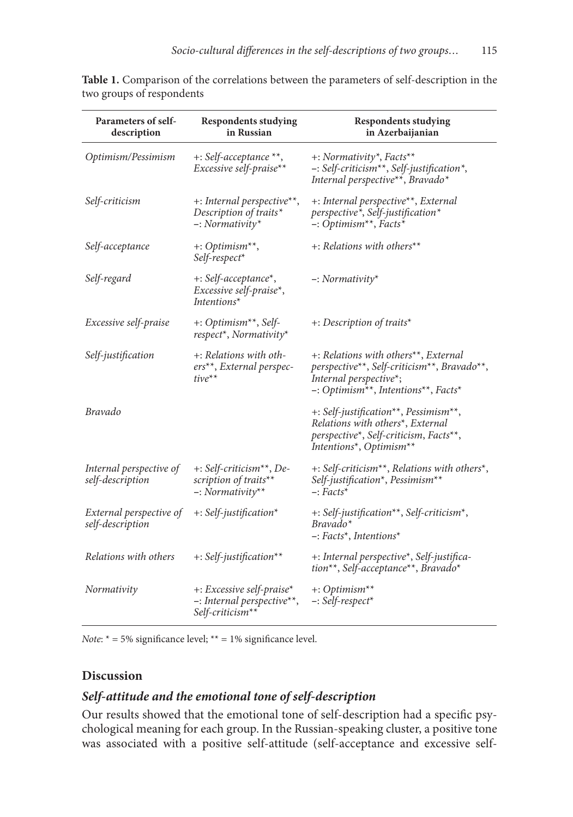| Parameters of self-<br>description          | <b>Respondents studying</b><br>in Russian                                                | <b>Respondents studying</b><br>in Azerbaijanian                                                                                                                                                         |
|---------------------------------------------|------------------------------------------------------------------------------------------|---------------------------------------------------------------------------------------------------------------------------------------------------------------------------------------------------------|
| Optimism/Pessimism                          | +: Self-acceptance **,<br>Excessive self-praise**                                        | +: Normativity <sup>*</sup> , Facts <sup>**</sup><br>-: Self-criticism <sup>**</sup> , Self-justification <sup>*</sup> ,<br>Internal perspective**, Bravado*                                            |
| Self-criticism                              | +: Internal perspective**,<br>Description of traits*<br>$-$ : Normativity*               | +: Internal perspective**, External<br>perspective*, Self-justification*<br>$-$ : Optimism <sup>**</sup> , Facts <sup>*</sup>                                                                           |
| Self-acceptance                             | $\pm$ : Optimism <sup>**</sup> ,<br>Self-respect*                                        | +: Relations with others**                                                                                                                                                                              |
| Self-regard                                 | +: Self-acceptance*,<br>Excessive self-praise*,<br>Intentions <sup>*</sup>               | $-$ : Normativity*                                                                                                                                                                                      |
| Excessive self-praise                       | $+$ : Optimism <sup>**</sup> , Self-<br>respect <sup>*</sup> , Normativity <sup>*</sup>  | +: Description of traits*                                                                                                                                                                               |
| Self-justification                          | +: Relations with oth-<br>ers**, External perspec-<br>$tive^{**}$                        | +: Relations with others <sup>**</sup> , External<br>perspective**, Self-criticism**, Bravado**,<br>Internal perspective*;<br>-: Optimism <sup>**</sup> , Intentions <sup>**</sup> , Facts <sup>*</sup> |
| <b>Bravado</b>                              |                                                                                          | +: Self-justification**, Pessimism**,<br>Relations with others <sup>*</sup> , External<br>perspective*, Self-criticism, Facts**,<br>Intentions*, Optimism**                                             |
| Internal perspective of<br>self-description | $+$ : Self-criticism <sup>**</sup> , De-<br>scription of traits**<br>$-$ : Normativity** | +: Self-criticism**, Relations with others*,<br>Self-justification*, Pessimism**<br>$-$ : Facts*                                                                                                        |
| External perspective of<br>self-description | $\pm$ : Self-justification*                                                              | +: Self-justification**, Self-criticism*,<br>$Bravado*$<br>$-$ : Facts <sup>*</sup> , Intentions <sup>*</sup>                                                                                           |
| Relations with others                       | +: Self-justification**                                                                  | +: Internal perspective*, Self-justifica-<br>tion**, Self-acceptance**, Bravado*                                                                                                                        |
| Normativity                                 | $\pm$ : Excessive self-praise*<br>-: Internal perspective**,<br>Self-criticism**         | $+$ : Optimism <sup>**</sup><br>$-$ : Self-respect*                                                                                                                                                     |

**Table 1.** Comparison of the correlations between the parameters of self-description in the two groups of respondents

*Note*:  $* = 5\%$  significance level;  $** = 1\%$  significance level.

### **Discussion**

### *Self-attitude and the emotional tone of self-description*

Our results showed that the emotional tone of self-description had a specific psychological meaning for each group. In the Russian-speaking cluster, a positive tone was associated with a positive self-attitude (self-acceptance and excessive self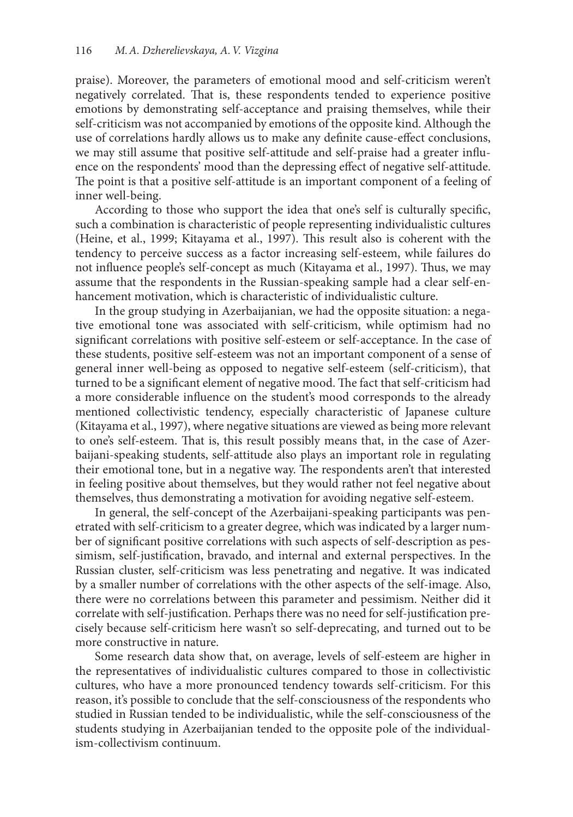praise). Moreover, the parameters of emotional mood and self-criticism weren't negatively correlated. That is, these respondents tended to experience positive emotions by demonstrating self-acceptance and praising themselves, while their self-criticism was not accompanied by emotions of the opposite kind. Although the use of correlations hardly allows us to make any definite cause-effect conclusions, we may still assume that positive self-attitude and self-praise had a greater influence on the respondents' mood than the depressing effect of negative self-attitude. The point is that a positive self-attitude is an important component of a feeling of inner well-being.

According to those who support the idea that one's self is culturally specific, such a combination is characteristic of people representing individualistic cultures (Heine, et al., 1999; Kitayama et al., 1997). This result also is coherent with the tendency to perceive success as a factor increasing self-esteem, while failures do not influence people's self-concept as much (Kitayama et al., 1997). Thus, we may assume that the respondents in the Russian-speaking sample had a clear self-enhancement motivation, which is characteristic of individualistic culture.

In the group studying in Azerbaijanian, we had the opposite situation: a negative emotional tone was associated with self-criticism, while optimism had no significant correlations with positive self-esteem or self-acceptance. In the case of these students, positive self-esteem was not an important component of a sense of general inner well-being as opposed to negative self-esteem (self-criticism), that turned to be a significant element of negative mood. The fact that self-criticism had a more considerable influence on the student's mood corresponds to the already mentioned collectivistic tendency, especially characteristic of Japanese culture (Kitayama et al., 1997), where negative situations are viewed as being more relevant to one's self-esteem. That is, this result possibly means that, in the case of Azerbaijani-speaking students, self-attitude also plays an important role in regulating their emotional tone, but in a negative way. The respondents aren't that interested in feeling positive about themselves, but they would rather not feel negative about themselves, thus demonstrating a motivation for avoiding negative self-esteem.

In general, the self-concept of the Azerbaijani-speaking participants was penetrated with self-criticism to a greater degree, which was indicated by a larger number of significant positive correlations with such aspects of self-description as pessimism, self-justification, bravado, and internal and external perspectives. In the Russian cluster, self-criticism was less penetrating and negative. It was indicated by a smaller number of correlations with the other aspects of the self-image. Also, there were no correlations between this parameter and pessimism. Neither did it correlate with self-justification. Perhaps there was no need for self-justification precisely because self-criticism here wasn't so self-deprecating, and turned out to be more constructive in nature.

Some research data show that, on average, levels of self-esteem are higher in the representatives of individualistic cultures compared to those in collectivistic cultures, who have a more pronounced tendency towards self-criticism. For this reason, it's possible to conclude that the self-consciousness of the respondents who studied in Russian tended to be individualistic, while the self-consciousness of the students studying in Azerbaijanian tended to the opposite pole of the individualism-collectivism continuum.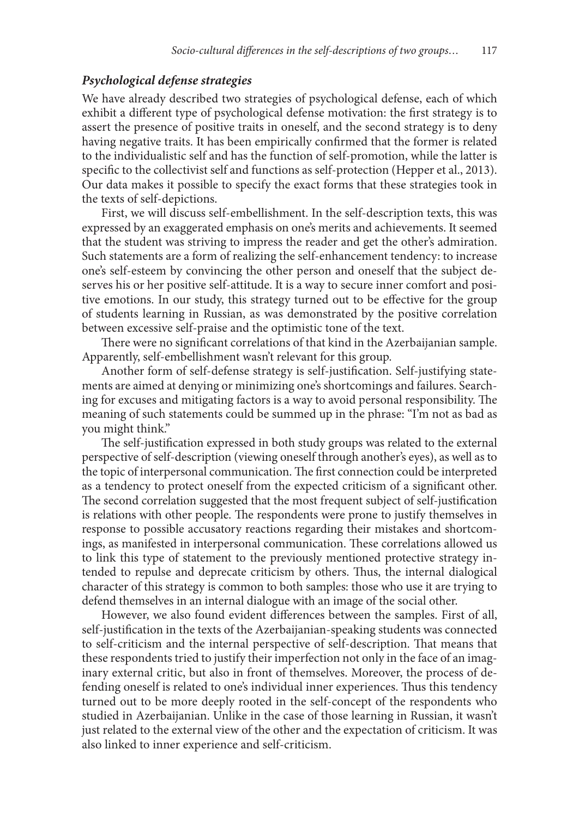#### *Psychological defense strategies*

We have already described two strategies of psychological defense, each of which exhibit a different type of psychological defense motivation: the first strategy is to assert the presence of positive traits in oneself, and the second strategy is to deny having negative traits. It has been empirically confirmed that the former is related to the individualistic self and has the function of self-promotion, while the latter is specific to the collectivist self and functions as self-protection (Hepper et al., 2013). Our data makes it possible to specify the exact forms that these strategies took in the texts of self-depictions.

First, we will discuss self-embellishment. In the self-description texts, this was expressed by an exaggerated emphasis on one's merits and achievements. It seemed that the student was striving to impress the reader and get the other's admiration. Such statements are a form of realizing the self-enhancement tendency: to increase one's self-esteem by convincing the other person and oneself that the subject deserves his or her positive self-attitude. It is a way to secure inner comfort and positive emotions. In our study, this strategy turned out to be effective for the group of students learning in Russian, as was demonstrated by the positive correlation between excessive self-praise and the optimistic tone of the text.

There were no significant correlations of that kind in the Azerbaijanian sample. Apparently, self-embellishment wasn't relevant for this group.

Another form of self-defense strategy is self-justification. Self-justifying statements are aimed at denying or minimizing one's shortcomings and failures. Searching for excuses and mitigating factors is a way to avoid personal responsibility. The meaning of such statements could be summed up in the phrase: "I'm not as bad as you might think."

The self-justification expressed in both study groups was related to the external perspective of self-description (viewing oneself through another's eyes), as well as to the topic of interpersonal communication. The first connection could be interpreted as a tendency to protect oneself from the expected criticism of a significant other. The second correlation suggested that the most frequent subject of self-justification is relations with other people. The respondents were prone to justify themselves in response to possible accusatory reactions regarding their mistakes and shortcomings, as manifested in interpersonal communication. These correlations allowed us to link this type of statement to the previously mentioned protective strategy intended to repulse and deprecate criticism by others. Thus, the internal dialogical character of this strategy is common to both samples: those who use it are trying to defend themselves in an internal dialogue with an image of the social other.

However, we also found evident differences between the samples. First of all, self-justification in the texts of the Azerbaijanian-speaking students was connected to self-criticism and the internal perspective of self-description. That means that these respondents tried to justify their imperfection not only in the face of an imaginary external critic, but also in front of themselves. Moreover, the process of defending oneself is related to one's individual inner experiences. Thus this tendency turned out to be more deeply rooted in the self-concept of the respondents who studied in Azerbaijanian. Unlike in the case of those learning in Russian, it wasn't just related to the external view of the other and the expectation of criticism. It was also linked to inner experience and self-criticism.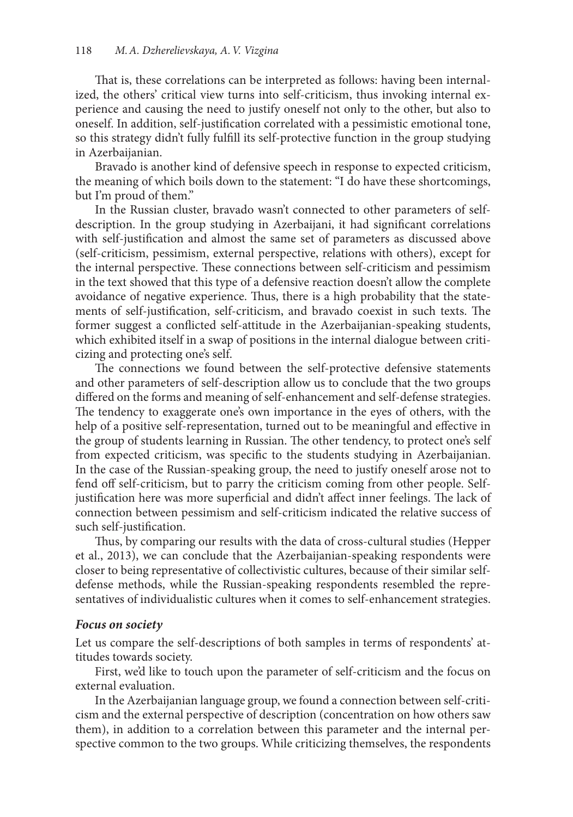That is, these correlations can be interpreted as follows: having been internalized, the others' critical view turns into self-criticism, thus invoking internal experience and causing the need to justify oneself not only to the other, but also to oneself. In addition, self-justification correlated with a pessimistic emotional tone, so this strategy didn't fully fulfill its self-protective function in the group studying in Azerbaijanian.

Bravado is another kind of defensive speech in response to expected criticism, the meaning of which boils down to the statement: "I do have these shortcomings, but I'm proud of them."

In the Russian cluster, bravado wasn't connected to other parameters of selfdescription. In the group studying in Azerbaijani, it had significant correlations with self-justification and almost the same set of parameters as discussed above (self-criticism, pessimism, external perspective, relations with others), except for the internal perspective. These connections between self-criticism and pessimism in the text showed that this type of a defensive reaction doesn't allow the complete avoidance of negative experience. Thus, there is a high probability that the statements of self-justification, self-criticism, and bravado coexist in such texts. The former suggest a conflicted self-attitude in the Azerbaijanian-speaking students, which exhibited itself in a swap of positions in the internal dialogue between criticizing and protecting one's self.

The connections we found between the self-protective defensive statements and other parameters of self-description allow us to conclude that the two groups differed on the forms and meaning of self-enhancement and self-defense strategies. The tendency to exaggerate one's own importance in the eyes of others, with the help of a positive self-representation, turned out to be meaningful and effective in the group of students learning in Russian. The other tendency, to protect one's self from expected criticism, was specific to the students studying in Azerbaijanian. In the case of the Russian-speaking group, the need to justify oneself arose not to fend off self-criticism, but to parry the criticism coming from other people. Selfjustification here was more superficial and didn't affect inner feelings. The lack of connection between pessimism and self-criticism indicated the relative success of such self-justification.

Thus, by comparing our results with the data of cross-cultural studies (Hepper et al., 2013), we can conclude that the Azerbaijanian-speaking respondents were closer to being representative of collectivistic cultures, because of their similar selfdefense methods, while the Russian-speaking respondents resembled the representatives of individualistic cultures when it comes to self-enhancement strategies.

#### *Focus on society*

Let us compare the self-descriptions of both samples in terms of respondents' attitudes towards society.

First, we'd like to touch upon the parameter of self-criticism and the focus on external evaluation.

In the Azerbaijanian language group, we found a connection between self-criticism and the external perspective of description (concentration on how others saw them), in addition to a correlation between this parameter and the internal perspective common to the two groups. While criticizing themselves, the respondents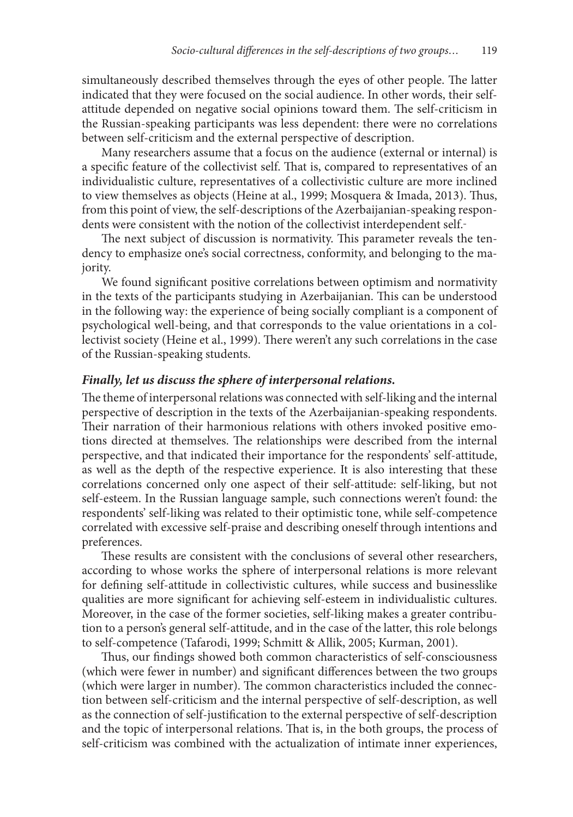simultaneously described themselves through the eyes of other people. The latter indicated that they were focused on the social audience. In other words, their selfattitude depended on negative social opinions toward them. The self-criticism in the Russian-speaking participants was less dependent: there were no correlations between self-criticism and the external perspective of description.

Many researchers assume that a focus on the audience (external or internal) is a specific feature of the collectivist self. That is, compared to representatives of an individualistic culture, representatives of a collectivistic culture are more inclined to view themselves as objects (Heine at al., 1999; Mosquera & Imada, 2013). Thus, from this point of view, the self-descriptions of the Azerbaijanian-speaking respondents were consistent with the notion of the collectivist interdependent self.

The next subject of discussion is normativity. This parameter reveals the tendency to emphasize one's social correctness, conformity, and belonging to the majority.

We found significant positive correlations between optimism and normativity in the texts of the participants studying in Azerbaijanian. This can be understood in the following way: the experience of being socially compliant is a component of psychological well-being, and that corresponds to the value orientations in a collectivist society (Heine et al., 1999). There weren't any such correlations in the case of the Russian-speaking students.

#### *Finally, let us discuss the sphere of interpersonal relations.*

The theme of interpersonal relations was connected with self-liking and the internal perspective of description in the texts of the Azerbaijanian-speaking respondents. Their narration of their harmonious relations with others invoked positive emotions directed at themselves. The relationships were described from the internal perspective, and that indicated their importance for the respondents' self-attitude, as well as the depth of the respective experience. It is also interesting that these correlations concerned only one aspect of their self-attitude: self-liking, but not self-esteem. In the Russian language sample, such connections weren't found: the respondents' self-liking was related to their optimistic tone, while self-competence correlated with excessive self-praise and describing oneself through intentions and preferences.

These results are consistent with the conclusions of several other researchers, according to whose works the sphere of interpersonal relations is more relevant for defining self-attitude in collectivistic cultures, while success and businesslike qualities are more significant for achieving self-esteem in individualistic cultures. Moreover, in the case of the former societies, self-liking makes a greater contribution to a person's general self-attitude, and in the case of the latter, this role belongs to self-competence (Tafarodi, 1999; Schmitt & Allik, 2005; Kurman, 2001).

Thus, our findings showed both common characteristics of self-consciousness (which were fewer in number) and significant differences between the two groups (which were larger in number). The common characteristics included the connection between self-criticism and the internal perspective of self-description, as well as the connection of self-justification to the external perspective of self-description and the topic of interpersonal relations. That is, in the both groups, the process of self-criticism was combined with the actualization of intimate inner experiences,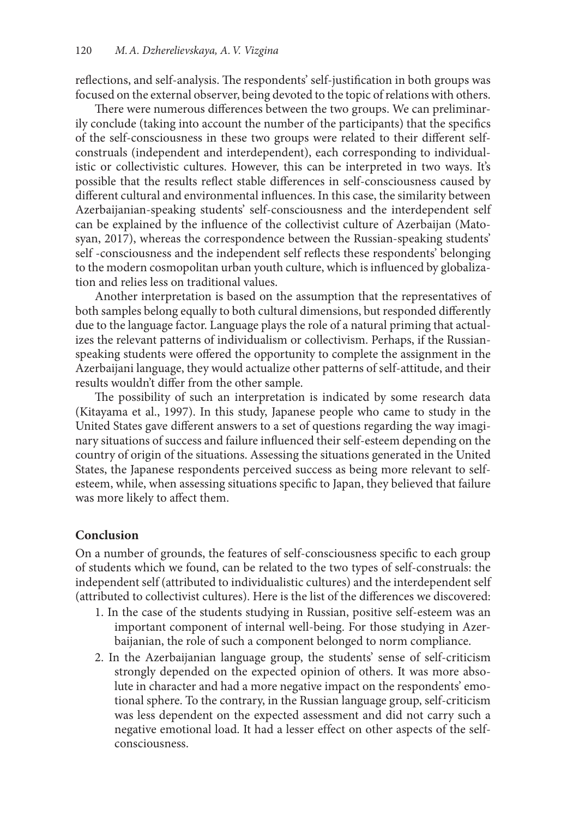reflections, and self-analysis. The respondents' self-justification in both groups was focused on the external observer, being devoted to the topic of relations with others.

There were numerous differences between the two groups. We can preliminarily conclude (taking into account the number of the participants) that the specifics of the self-consciousness in these two groups were related to their different selfconstruals (independent and interdependent), each corresponding to individualistic or collectivistic cultures. However, this can be interpreted in two ways. It's possible that the results reflect stable differences in self-consciousness caused by different cultural and environmental influences. In this case, the similarity between Azerbaijanian-speaking students' self-consciousness and the interdependent self can be explained by the influence of the collectivist culture of Azerbaijan (Matosyan, 2017), whereas the correspondence between the Russian-speaking students' self -consciousness and the independent self reflects these respondents' belonging to the modern cosmopolitan urban youth culture, which is influenced by globalization and relies less on traditional values.

Another interpretation is based on the assumption that the representatives of both samples belong equally to both cultural dimensions, but responded differently due to the language factor. Language plays the role of a natural priming that actualizes the relevant patterns of individualism or collectivism. Perhaps, if the Russianspeaking students were offered the opportunity to complete the assignment in the Azerbaijani language, they would actualize other patterns of self-attitude, and their results wouldn't differ from the other sample.

The possibility of such an interpretation is indicated by some research data (Kitayama et al., 1997). In this study, Japanese people who came to study in the United States gave different answers to a set of questions regarding the way imaginary situations of success and failure influenced their self-esteem depending on the country of origin of the situations. Assessing the situations generated in the United States, the Japanese respondents perceived success as being more relevant to selfesteem, while, when assessing situations specific to Japan, they believed that failure was more likely to affect them.

# **Conclusion**

On a number of grounds, the features of self-consciousness specific to each group of students which we found, can be related to the two types of self-construals: the independent self (attributed to individualistic cultures) and the interdependent self (attributed to collectivist cultures). Here is the list of the differences we discovered:

- 1. In the case of the students studying in Russian, positive self-esteem was an important component of internal well-being. For those studying in Azerbaijanian, the role of such a component belonged to norm compliance.
- 2. In the Azerbaijanian language group, the students' sense of self-criticism strongly depended on the expected opinion of others. It was more absolute in character and had a more negative impact on the respondents' emotional sphere. To the contrary, in the Russian language group, self-criticism was less dependent on the expected assessment and did not carry such a negative emotional load. It had a lesser effect on other aspects of the selfconsciousness.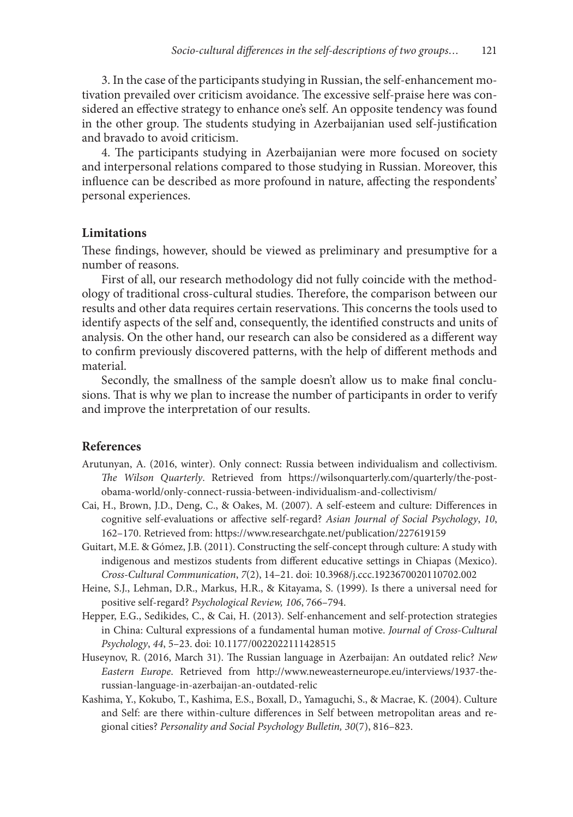3. In the case of the participants studying in Russian, the self-enhancement motivation prevailed over criticism avoidance. The excessive self-praise here was considered an effective strategy to enhance one's self. An opposite tendency was found in the other group. The students studying in Azerbaijanian used self-justification and bravado to avoid criticism.

4. The participants studying in Azerbaijanian were more focused on society and interpersonal relations compared to those studying in Russian. Moreover, this influence can be described as more profound in nature, affecting the respondents' personal experiences.

#### **Limitations**

These findings, however, should be viewed as preliminary and presumptive for a number of reasons.

First of all, our research methodology did not fully coincide with the methodology of traditional cross-cultural studies. Therefore, the comparison between our results and other data requires certain reservations. This concerns the tools used to identify aspects of the self and, consequently, the identified constructs and units of analysis. On the other hand, our research can also be considered as a different way to confirm previously discovered patterns, with the help of different methods and material.

Secondly, the smallness of the sample doesn't allow us to make final conclusions. That is why we plan to increase the number of participants in order to verify and improve the interpretation of our results.

#### **References**

- Arutunyan, A. (2016, winter). Only connect: Russia between individualism and collectivism. *The Wilson Quarterly*. Retrieved from https://wilsonquarterly.com/quarterly/the-postobama-world/only-connect-russia-between-individualism-and-collectivism/
- Cai, H., Brown, J.D., Deng, C., & Oakes, M. (2007). A self-esteem and culture: Differences in cognitive self-evaluations or affective self-regard? *Asian Journal of Social Psychology*, *10*, 162–170. Retrieved from: https://www.researchgate.net/publication/227619159
- Guitart, M.E. & Gómez, J.B. (2011). Constructing the self-concept through culture: A study with indigenous and mestizos students from different educative settings in Chiapas (Mexico). *Cross-Cultural Communication*, *7*(2), 14–21. doi: 10.3968/j.ccc.1923670020110702.002
- Heine, S.J., Lehman, D.R., Markus, H.R., & Kitayama, S. (1999). Is there a universal need for positive self-regard? *Psychological Review, 106*, 766–794.
- Hepper, E.G., Sedikides, C., & Cai, H. (2013). Self-enhancement and self-protection strategies in China: Cultural expressions of a fundamental human motive. *Journal of Cross-Cultural Psychology*, *44*, 5–23. doi: 10.1177/0022022111428515
- Huseynov, R. (2016, March 31). The Russian language in Azerbaijan: An outdated relic? *New Eastern Europe*. Retrieved from http://www.neweasterneurope.eu/interviews/1937-therussian-language-in-azerbaijan-an-outdated-relic
- Kashima, Y., Kokubo, T., Kashima, E.S., Boxall, D., Yamaguchi, S., & Macrae, K. (2004). Culture and Self: are there within-culture differences in Self between metropolitan areas and regional cities? *Personality and Social Psychology Bulletin, 30*(7), 816–823.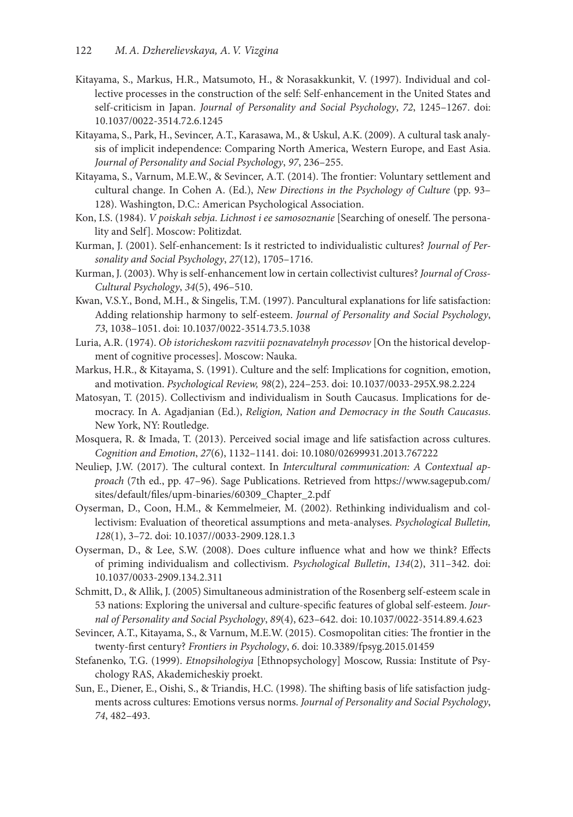- Kitayama, S., Markus, H.R., Matsumoto, H., & Norasakkunkit, V. (1997). Individual and collective processes in the construction of the self: Self-enhancement in the United States and self-criticism in Japan. *Journal of Personality and Social Psychology*, *72*, 1245–1267. doi: 10.1037/0022-3514.72.6.1245
- Kitayama, S., Park, H., Sevincer, A.T., Karasawa, M., & Uskul, A.K. (2009). A cultural task analysis of implicit independence: Comparing North America, Western Europe, and East Asia. *Journal of Personality and Social Psychology*, *97*, 236–255.
- Kitayama, S., Varnum, M.E.W., & Sevincer, A.T. (2014). The frontier: Voluntary settlement and cultural change. In Cohen A. (Ed.), *New Directions in the Psychology of Culture* (pp. 93– 128). Washington, D.C.: American Psychological Association.
- Kon, I.S. (1984). *V poiskah sebja. Lichnost i ee samosoznanie* [Searching of oneself. The personality and Self]. Moscow: Politizdat*.*
- Kurman, J. (2001). Self-enhancement: Is it restricted to individualistic cultures? *Journal of Personality and Social Psychology*, *27*(12), 1705–1716.
- Kurman, J. (2003). Why is self-enhancement low in certain collectivist cultures? *Journal of Cross-Cultural Psychology*, *34*(5), 496–510.
- Kwan, V.S.Y., Bond, M.H., & Singelis, T.M. (1997). Pancultural explanations for life satisfaction: Adding relationship harmony to self-esteem. *Journal of Personality and Social Psychology*, *73*, 1038–1051. doi: 10.1037/0022-3514.73.5.1038
- Luria, A.R. (1974). *Ob istoricheskom razvitii poznavatelnyh processov* [On the historical development of cognitive processes]. Moscow: Nauka.
- Markus, H.R., & Kitayama, S. (1991). Culture and the self: Implications for cognition, emotion, and motivation. *Psychological Review, 98*(2), 224–253. doi: 10.1037/0033-295X.98.2.224
- Matosyan, T. (2015). Collectivism and individualism in South Caucasus. Implications for democracy. In A. Agadjanian (Ed.), *Religion, Nation and Democracy in the South Caucasus*. New York, NY: Routledge.
- Mosquera, R. & Imada, T. (2013). Perceived social image and life satisfaction across cultures. *Cognition and Emotion*, *27*(6), 1132–1141. doi: 10.1080/02699931.2013.767222
- Neuliep, J.W. (2017). The cultural context. In *Intercultural communication: A Contextual approach* (7th ed., pp. 47–96). Sage Publications. Retrieved from https://www.sagepub.com/ sites/default/files/upm-binaries/60309\_Chapter\_2.pdf
- Oyserman, D., Coon, H.M., & Kemmelmeier, M. (2002). Rethinking individualism and collectivism: Evaluation of theoretical assumptions and meta-analyses. *Psychological Bulletin, 128*(1), 3–72. doi: 10.1037//0033-2909.128.1.3
- Oyserman, D., & Lee, S.W. (2008). Does culture influence what and how we think? Effects of priming individualism and collectivism. *Psychological Bulletin*, *134*(2), 311–342. doi: 10.1037/0033-2909.134.2.311
- Schmitt, D., & Allik, J. (2005) Simultaneous administration of the Rosenberg self-esteem scale in 53 nations: Exploring the universal and culture-specific features of global self-esteem. *Journal of Personality and Social Psychology*, *89*(4), 623–642. doi: 10.1037/0022-3514.89.4.623
- Sevincer, A.T., Kitayama, S., & Varnum, M.E.W. (2015). Cosmopolitan cities: The frontier in the twenty-first century? *Frontiers in Psychology*, *6*. doi: 10.3389/fpsyg.2015.01459
- Stefanenko, T.G. (1999). *Etnopsihologiya* [Ethnopsychology] Moscow, Russia: Institute of Psychology RAS, Akademicheskiy proekt.
- Sun, E., Diener, E., Oishi, S., & Triandis, H.C. (1998). The shifting basis of life satisfaction judgments across cultures: Emotions versus norms. *Journal of Personality and Social Psychology*, *74*, 482–493.